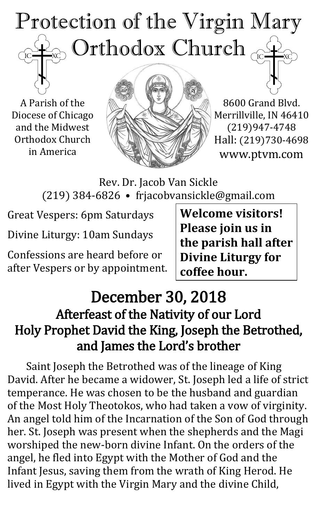# Protection of the Virgin Mary Orthodox Church  $\rm \check{IC}$

A Parish of the Diocese of Chicago and the Midwest Orthodox Church in America



8600 Grand Blvd. Merrillville, IN 46410 (219)947-4748 Hall: (219)730-4698 www.ptvm.com

Rev. Dr. Jacob Van Sickle (219) 384-6826 • frjacobvansickle@gmail.com

Great Vespers: 6pm Saturdays

Divine Liturgy: 10am Sundays

Confessions are heard before or after Vespers or by appointment.

**Welcome visitors! Please join us in the parish hall after Divine Liturgy for coffee hour.**

# December 30, 2018 Afterfeast of the Nativity of our Lord Holy Prophet David the King, Joseph the Betrothed, and James the Lord's brother

Saint Joseph the Betrothed was of the lineage of King David. After he became a widower, St. Joseph led a life of strict temperance. He was chosen to be the husband and guardian of the Most Holy Theotokos, who had taken a vow of virginity. An angel told him of the Incarnation of the Son of God through her. St. Joseph was present when the shepherds and the Magi worshiped the new-born divine Infant. On the orders of the angel, he fled into Egypt with the Mother of God and the Infant Jesus, saving them from the wrath of King Herod. He lived in Egypt with the Virgin Mary and the divine Child,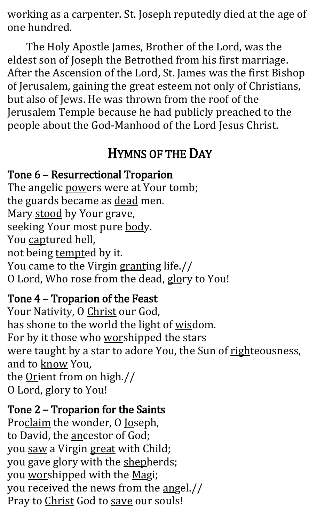working as a carpenter. St. Joseph reputedly died at the age of one hundred.

The Holy Apostle James, Brother of the Lord, was the eldest son of Joseph the Betrothed from his first marriage. After the Ascension of the Lord, St. James was the first Bishop of Jerusalem, gaining the great esteem not only of Christians, but also of Jews. He was thrown from the roof of the Jerusalem Temple because he had publicly preached to the people about the God-Manhood of the Lord Jesus Christ.

# HYMNS OF THE DAY

#### Tone 6 – Resurrectional Troparion

The angelic powers were at Your tomb; the guards became as dead men. Mary stood by Your grave, seeking Your most pure body. You captured hell, not being tempted by it. You came to the Virgin granting life.// O Lord, Who rose from the dead, glory to You!

## Tone 4 – Troparion of the Feast

Your Nativity, O Christ our God, has shone to the world the light of wisdom. For by it those who worshipped the stars were taught by a star to adore You, the Sun of righteousness, and to know You, the Orient from on high.// O Lord, glory to You!

## Tone 2 – Troparion for the Saints

Proclaim the wonder, O Joseph, to David, the ancestor of God; you saw a Virgin great with Child; you gave glory with the shepherds; you worshipped with the Magi; you received the news from the angel.// Pray to Christ God to save our souls!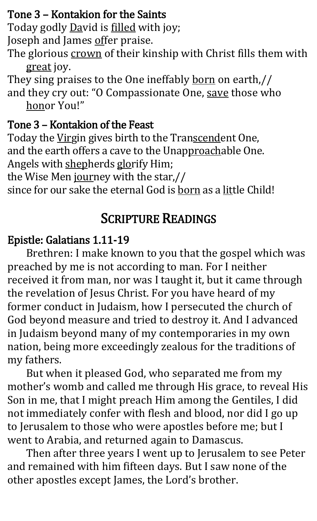## Tone 3 – Kontakion for the Saints

Today godly David is filled with joy;

Joseph and James offer praise.

The glorious crown of their kinship with Christ fills them with great joy.

They sing praises to the One ineffably born on earth,// and they cry out: "O Compassionate One, save those who honor You!"

## Tone 3 – Kontakion of the Feast

Today the Virgin gives birth to the Transcendent One, and the earth offers a cave to the Unapproachable One. Angels with shepherds glorify Him; the Wise Men journey with the star,// since for our sake the eternal God is born as a little Child!

# SCRIPTURE READINGS

## Epistle: Galatians 1.11-19

Brethren: I make known to you that the gospel which was preached by me is not according to man. For I neither received it from man, nor was I taught it, but it came through the revelation of Jesus Christ. For you have heard of my former conduct in Judaism, how I persecuted the church of God beyond measure and tried to destroy it. And I advanced in Judaism beyond many of my contemporaries in my own nation, being more exceedingly zealous for the traditions of my fathers.

But when it pleased God, who separated me from my mother's womb and called me through His grace, to reveal His Son in me, that I might preach Him among the Gentiles, I did not immediately confer with flesh and blood, nor did I go up to Jerusalem to those who were apostles before me; but I went to Arabia, and returned again to Damascus.

Then after three years I went up to Jerusalem to see Peter and remained with him fifteen days. But I saw none of the other apostles except James, the Lord's brother.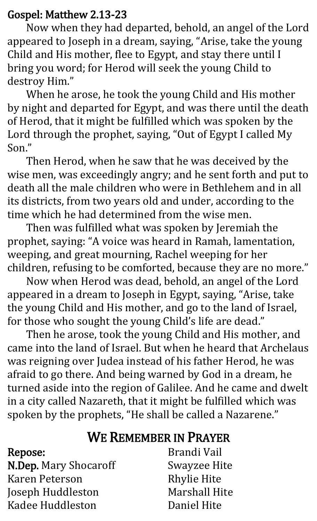#### Gospel: Matthew 2.13-23

Now when they had departed, behold, an angel of the Lord appeared to Joseph in a dream, saying, "Arise, take the young Child and His mother, flee to Egypt, and stay there until I bring you word; for Herod will seek the young Child to destroy Him."

When he arose, he took the young Child and His mother by night and departed for Egypt, and was there until the death of Herod, that it might be fulfilled which was spoken by the Lord through the prophet, saying, "Out of Egypt I called My Son."

Then Herod, when he saw that he was deceived by the wise men, was exceedingly angry; and he sent forth and put to death all the male children who were in Bethlehem and in all its districts, from two years old and under, according to the time which he had determined from the wise men.

Then was fulfilled what was spoken by Jeremiah the prophet, saying: "A voice was heard in Ramah, lamentation, weeping, and great mourning, Rachel weeping for her children, refusing to be comforted, because they are no more."

Now when Herod was dead, behold, an angel of the Lord appeared in a dream to Joseph in Egypt, saying, "Arise, take the young Child and His mother, and go to the land of Israel, for those who sought the young Child's life are dead."

Then he arose, took the young Child and His mother, and came into the land of Israel. But when he heard that Archelaus was reigning over Judea instead of his father Herod, he was afraid to go there. And being warned by God in a dream, he turned aside into the region of Galilee. And he came and dwelt in a city called Nazareth, that it might be fulfilled which was spoken by the prophets, "He shall be called a Nazarene."

# WE REMEMBER IN PRAYER

#### Repose:

N.Dep. Mary Shocaroff Karen Peterson Joseph Huddleston Kadee Huddleston

Brandi Vail Swayzee Hite Rhylie Hite Marshall Hite Daniel Hite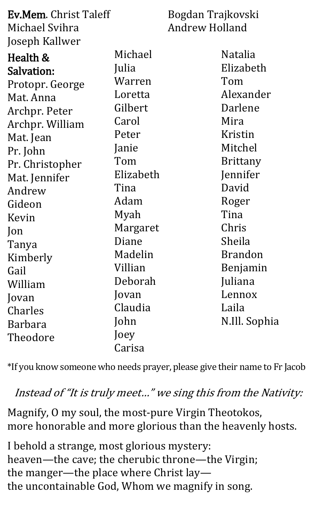| <b>Ev.Mem.</b> Christ Taleff |           | Bogdan Trajkovski     |                 |
|------------------------------|-----------|-----------------------|-----------------|
| Michael Svihra               |           | <b>Andrew Holland</b> |                 |
| Joseph Kallwer               |           |                       |                 |
| Health &                     | Michael   |                       | <b>Natalia</b>  |
| Salvation:                   | Julia     |                       | Elizabeth       |
| Protopr. George              | Warren    |                       | Tom             |
| Mat. Anna                    | Loretta   |                       | Alexander       |
| Archpr. Peter                | Gilbert   |                       | Darlene         |
| Archpr. William              | Carol     |                       | Mira            |
| Mat. Jean                    | Peter     |                       | Kristin         |
| Pr. John                     | Janie     |                       | Mitchel         |
| Pr. Christopher              | Tom       |                       | <b>Brittany</b> |
| Mat. Jennifer                | Elizabeth |                       | Jennifer        |
| Andrew                       | Tina      |                       | David           |
| Gideon                       | Adam      |                       | Roger           |
| Kevin                        | Myah      |                       | Tina            |
| Jon                          | Margaret  |                       | Chris           |
| Tanya                        | Diane     |                       | Sheila          |
| Kimberly                     | Madelin   |                       | <b>Brandon</b>  |
| Gail                         | Villian   |                       | Benjamin        |
| William                      | Deborah   |                       | Juliana         |
| Jovan                        | Jovan     |                       | Lennox          |
| Charles                      | Claudia   |                       | Laila           |
| <b>Barbara</b>               | John      |                       | N.Ill. Sophia   |
| Theodore                     | Joey      |                       |                 |
|                              | Carisa    |                       |                 |

\*If you know someone who needs prayer, please give their name to Fr Jacob

## Instead of "It is truly meet…" we sing this from the Nativity:

Magnify, O my soul, the most-pure Virgin Theotokos, more honorable and more glorious than the heavenly hosts.

I behold a strange, most glorious mystery: heaven—the cave; the cherubic throne—the Virgin; the manger—the place where Christ lay the uncontainable God, Whom we magnify in song.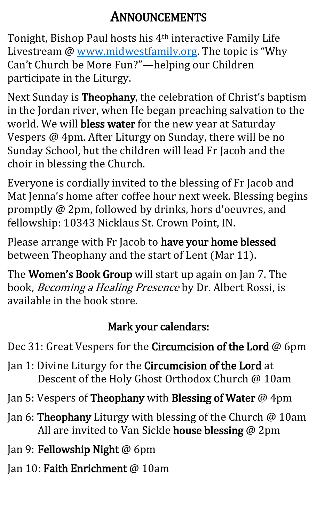# ANNOUNCEMENTS

Tonight, Bishop Paul hosts his 4th interactive Family Life Livestream @ [www.midwestfamily.org](http://www.midwestfamily.org/). The topic is "Why Can't Church be More Fun?"—helping our Children participate in the Liturgy.

Next Sunday is Theophany, the celebration of Christ's baptism in the Jordan river, when He began preaching salvation to the world. We will bless water for the new year at Saturday Vespers @ 4pm. After Liturgy on Sunday, there will be no Sunday School, but the children will lead Fr Jacob and the choir in blessing the Church.

Everyone is cordially invited to the blessing of Fr Jacob and Mat Jenna's home after coffee hour next week. Blessing begins promptly @ 2pm, followed by drinks, hors d'oeuvres, and fellowship: 10343 Nicklaus St. Crown Point, IN.

Please arrange with Fr Jacob to have your home blessed between Theophany and the start of Lent (Mar 11).

The **Women's Book Group** will start up again on Jan 7. The book, Becoming a Healing Presence by Dr. Albert Rossi, is available in the book store.

# Mark your calendars:

Dec 31: Great Vespers for the Circumcision of the Lord @ 6pm

Jan 1: Divine Liturgy for the Circumcision of the Lord at Descent of the Holy Ghost Orthodox Church @ 10am

Jan 5: Vespers of Theophany with Blessing of Water @ 4pm

- Jan 6: Theophany Liturgy with blessing of the Church @ 10am All are invited to Van Sickle house blessing @ 2pm
- Jan 9: Fellowship Night @ 6pm
- Jan 10: Faith Enrichment @ 10am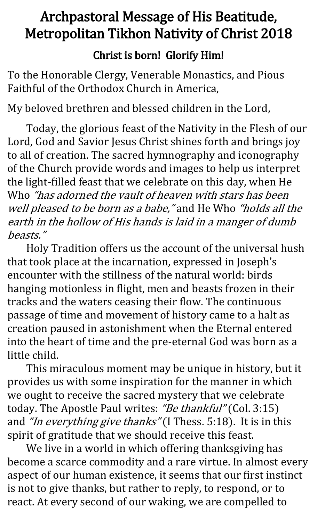# Archpastoral Message of His Beatitude, Metropolitan Tikhon Nativity of Christ 2018

## Christ is born! Glorify Him!

To the Honorable Clergy, Venerable Monastics, and Pious Faithful of the Orthodox Church in America,

My beloved brethren and blessed children in the Lord,

Today, the glorious feast of the Nativity in the Flesh of our Lord, God and Savior Jesus Christ shines forth and brings joy to all of creation. The sacred hymnography and iconography of the Church provide words and images to help us interpret the light-filled feast that we celebrate on this day, when He Who "has adorned the vault of heaven with stars has been well pleased to be born as a babe," and He Who "holds all the earth in the hollow of His hands is laid in a manger of dumb beasts."

Holy Tradition offers us the account of the universal hush that took place at the incarnation, expressed in Joseph's encounter with the stillness of the natural world: birds hanging motionless in flight, men and beasts frozen in their tracks and the waters ceasing their flow. The continuous passage of time and movement of history came to a halt as creation paused in astonishment when the Eternal entered into the heart of time and the pre-eternal God was born as a little child.

This miraculous moment may be unique in history, but it provides us with some inspiration for the manner in which we ought to receive the sacred mystery that we celebrate today. The Apostle Paul writes: "Be thankful" (Col. 3:15) and "In everything give thanks" (I Thess. 5:18). It is in this spirit of gratitude that we should receive this feast.

We live in a world in which offering thanksgiving has become a scarce commodity and a rare virtue. In almost every aspect of our human existence, it seems that our first instinct is not to give thanks, but rather to reply, to respond, or to react. At every second of our waking, we are compelled to